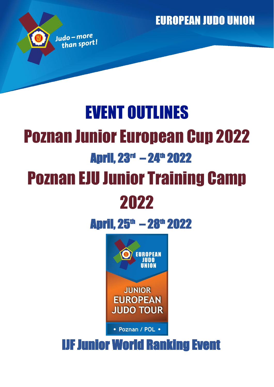**EUROPEAN JUDO UNION** 

# EVENT OUTLINES Poznan Junior European Cup 2022 **April, 23<sup>rd</sup> - 24<sup>th</sup> 2022** Poznan EJU Junior Training Camp 2022

Judo-more than sport!

## **April, 25<sup>th</sup> - 28<sup>th</sup> 2022**



• Poznan / POL •

## IJF Junior World Ranking Event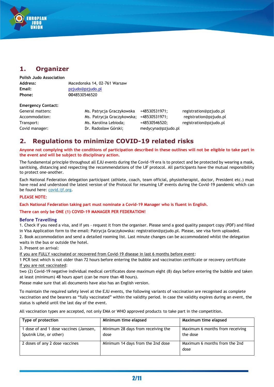

## **1. Organizer**

**Polish Judo Association Address:** Macedonska 14, 02-761 Warsaw **Email:** pzjudo@pzjudo.pl **Phone: 00**48530546520

#### **Emergency Contact:**

General matters: Ms. Patrycja Graczykowska +48530531971; registration@pzjudo.pl Accommodation: Ms. Patrycja Graczykowska; +48530531971; registration@pzjudo.pl Transport: Ms. Karolina Lebioda; +48530546520; registration@pzjudo.pl Covid manager: <br>
Dr. Radosław Górski; medycyna@pzjudo.pl

## **2. Regulations to minimize COVID-19 related risks**

**Anyone not complying with the conditions of participation described in these outlines will not be eligible to take part in the event and will be subject to disciplinary action.**

The fundamental principle throughout all EJU events during the Covid-19 era is to protect and be protected by wearing a mask, sanitising, distancing and respecting the recommendations of the IJF protocol. All participants have the mutual responsibility to protect one-another.

Each National Federation delegation participant (athlete, coach, team official, physiotherapist, doctor, President etc.) must have read and understood the latest version of the Protocol for resuming IJF events during the Covid-19 pandemic which can be found here: covid.ijf.org.

#### **PLEASE NOTE:**

**Each National Federation taking part must nominate a Covid-19 Manager who is fluent in English.**

**There can only be ONE (1) COVID-19 MANAGER PER FEDERATION!**

#### **Before Travelling**

1. Check if you need a visa, and if yes - request it from the organiser. Please send a good quality passport copy (PDF) and filled

in Visa Application form to the email: Patrycja Graczykowska: registration@pzjudo.pl. Please, see visa form uploaded.

2. Book accommodation and send a detailed rooming list. Last minute changes can be accommodated whilst the delegation waits in the bus or outside the hotel.

3. Present on arrival:

If you are FULLY vaccinated or recovered from Covid-19 disease in last 6 months before event:

1 PCR test which is not older than 72 hours before entering the bubble and vaccination certificate or recovery certificate If you are not vaccinated:

two (2) Covid-19 negative individual medical certificates done maximum eight (8) days before entering the bubble and taken at least (minimum) 48 hours apart (can be more than 48 hours).

Please make sure that all documents have also has an English version.

To maintain the required safety level at the EJU events, the following variants of vaccination are recognised as complete vaccination and the bearers as "fully vaccinated" within the validity period. In case the validity expires during an event, the status is upheld until the last day of the event.

All vaccination types are accepted, not only EMA or WHO approved products to take part in the competition.

| Type of protection                                                 | Minimum time elapsed                       | Maximum time elapsed                        |
|--------------------------------------------------------------------|--------------------------------------------|---------------------------------------------|
| 1 dose of and 1 dose vaccines (Janssen,<br>Sputnik Lite, or other) | Minimum 28 days from receiving the<br>dose | Maximum 6 months from receiving<br>the dose |
| 2 doses of any 2 dose vaccines                                     | Minimum 14 days from the 2nd dose          | Maximum 6 months from the 2nd<br>dose       |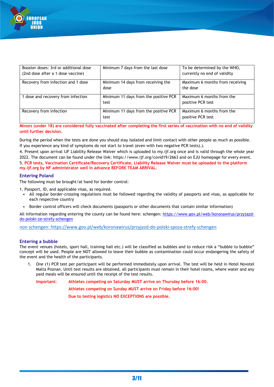

| Booster doses: 3rd or additional dose | Minimum 7 days from the last dose     | To be determined by the WHO,    |
|---------------------------------------|---------------------------------------|---------------------------------|
| (2nd dose after a 1 dose vaccine)     |                                       | currently no end of validity    |
| Recovery from infection and 1 dose    | Minimum 14 days from receiving the    | Maximum 6 months from receiving |
|                                       | dose                                  | the dose                        |
| 1 dose and recovery from infection    | Minimum 11 days from the positive PCR | Maximum 6 months from the       |
|                                       | test                                  | positive PCR test               |
| Recovery from infection               | Minimum 11 days from the positive PCR | Maximum 6 months from the       |
|                                       | test                                  | positive PCR test               |

**Minors (under 18) are considered fully vaccinated after completing the first series of vaccination with no end of validity until further decision**.

During the period when the tests are done you should stay isolated and limit contact with other people as much as possible. If you experience any kind of symptoms do not start to travel (even with two negative PCR tests).).

4. Present upon arrival IJF Liability Release Waiver which is uploaded to my.ijf.org once and is valid through the whole year 2022. The document can be found under the link: https://www.ijf.org/covid19/2663 and on EJU homepage for every event. 5. **PCR tests, Vaccination Certificate/Recovery Certificate, Liability Release Waiver must be uploaded to the platform my.ijf.org by NF administrator well in advance BEFORE TEAM ARRIVAL.**

#### **Entering Poland**

The following must be brought/at hand for border control:

1. Passport, ID, and applicable visas, as required.

- All regular border-crossing regulations must be followed regarding the validity of passports and visas, as applicable for each respective country
- Border control officers will check documents (passports or other documents that contain similar information)

All information regarding entering the county can be found here: schengen: [https://www.gov.pl/web/koronawirus/przyjazd](https://www.gov.pl/web/koronawirus/przyjazd-do-polski-ze-strefy-schengen)[do-polski-ze-strefy-schengen](https://www.gov.pl/web/koronawirus/przyjazd-do-polski-ze-strefy-schengen)

non schengen: https://www.gov.pl/web/koronawirus/przyjazd-do-polski-spoza-strefy-schengen

#### **Entering a bubble**

The event venues (hotels, sport hall, training hall etc.) will be classified as bubbles and to reduce risk a "bubble to bubble" concept will be used. People are NOT allowed to leave their bubble as contamination could occur endangering the safety of the event and the health of the participants.

1. One (1) PCR test per participant will be performed immediately upon arrival. The test will be held in Hotel Novotel Malta Poznan. Until test results are obtained, all participants must remain in their hotel rooms, where water and any paid meals will be ensured until the receipt of the test results.

**Important: Athletes competing on Saturday MUST arrive on Thursday before 16:00.**

**Athletes competing on Sunday MUST arrive on Friday before 16:00!**

**Due to testing logistics NO EXCEPTIONS are possible.**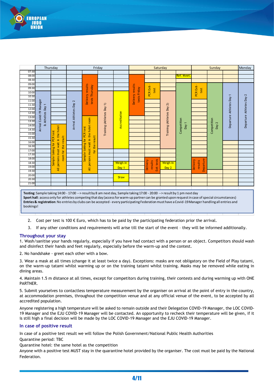

|                | Thursday                                                                                                                  |                                    |                        |                                         | Friday |                                            |                                  |                                          | Saturday                  |                              |                                         | Sunday               |                | Monday                   |  |  |  |  |
|----------------|---------------------------------------------------------------------------------------------------------------------------|------------------------------------|------------------------|-----------------------------------------|--------|--------------------------------------------|----------------------------------|------------------------------------------|---------------------------|------------------------------|-----------------------------------------|----------------------|----------------|--------------------------|--|--|--|--|
| 07:30          |                                                                                                                           |                                    |                        |                                         |        |                                            |                                  |                                          |                           |                              |                                         |                      |                |                          |  |  |  |  |
| 08:00          |                                                                                                                           |                                    |                        |                                         |        |                                            |                                  |                                          |                           | Ref. Meet                    |                                         |                      |                |                          |  |  |  |  |
| 08:30          |                                                                                                                           |                                    |                        |                                         |        |                                            |                                  |                                          |                           |                              |                                         |                      |                |                          |  |  |  |  |
| 09:00          |                                                                                                                           |                                    |                        |                                         |        |                                            |                                  |                                          |                           |                              |                                         |                      |                |                          |  |  |  |  |
| 09:30          |                                                                                                                           |                                    |                        |                                         |        |                                            |                                  | test                                     |                           |                              | test                                    |                      |                |                          |  |  |  |  |
| 10:00          |                                                                                                                           |                                    |                        | Delivery results<br>tests Thursday      |        |                                            | Delivery results<br>tests Friday | PCR Exit-                                |                           |                              | PCR Exit-                               |                      |                |                          |  |  |  |  |
| 10:30          |                                                                                                                           |                                    |                        |                                         |        |                                            |                                  |                                          |                           |                              |                                         |                      | Athletes Day 1 |                          |  |  |  |  |
| 11:00          |                                                                                                                           |                                    |                        |                                         |        |                                            |                                  |                                          |                           |                              |                                         |                      |                |                          |  |  |  |  |
| 11:30<br>12:00 |                                                                                                                           |                                    |                        |                                         |        |                                            |                                  |                                          |                           |                              |                                         |                      |                |                          |  |  |  |  |
| 12:30          |                                                                                                                           |                                    |                        |                                         |        |                                            |                                  |                                          |                           |                              |                                         |                      |                |                          |  |  |  |  |
| 13:00          |                                                                                                                           |                                    |                        |                                         |        |                                            |                                  |                                          |                           |                              |                                         |                      |                |                          |  |  |  |  |
| 13:30          |                                                                                                                           |                                    |                        |                                         |        | Training (Athletes Day 1)<br>Accreditation |                                  |                                          |                           |                              |                                         |                      |                |                          |  |  |  |  |
| 14:00          | Arrival Covid-19 Manager<br>& Atheltes Day 1                                                                              |                                    | Arrival Athletes Day 2 |                                         |        |                                            |                                  |                                          | Training (Athletes Day 2) | Competition<br>$\overline{}$ |                                         | Competition<br>Day 2 | Departure      | Departure Athletes Day 2 |  |  |  |  |
| 14:30          |                                                                                                                           | hotel                              |                        | for PCR test                            |        |                                            |                                  |                                          |                           | Day                          |                                         |                      |                |                          |  |  |  |  |
| 15:00          |                                                                                                                           | test                               |                        |                                         |        |                                            |                                  |                                          |                           |                              |                                         |                      |                |                          |  |  |  |  |
| 15:30          |                                                                                                                           | result<br><b>PCR</b>               |                        |                                         |        |                                            |                                  |                                          |                           |                              |                                         |                      |                |                          |  |  |  |  |
| 16:00          |                                                                                                                           |                                    |                        | for the result                          |        |                                            |                                  |                                          |                           |                              |                                         |                      |                |                          |  |  |  |  |
| 16:30          |                                                                                                                           | for                                |                        | taking                                  |        |                                            |                                  |                                          |                           |                              |                                         |                      |                |                          |  |  |  |  |
| 17:00          |                                                                                                                           | taking                             |                        |                                         |        |                                            |                                  |                                          |                           |                              |                                         |                      |                |                          |  |  |  |  |
| 17:30          |                                                                                                                           |                                    |                        |                                         |        |                                            |                                  |                                          |                           |                              |                                         |                      |                |                          |  |  |  |  |
| 18:00          |                                                                                                                           | room for the                       |                        | Sample                                  |        |                                            |                                  |                                          |                           |                              |                                         |                      |                |                          |  |  |  |  |
| 18:30          |                                                                                                                           | persons must wait in the<br>Sample |                        | All persons must wait in the hotel room |        | Weigh-in                                   |                                  | Exit tests<br><b>Delivery</b><br>results | Weigh-in                  |                              | Departure<br><b>Delivery</b><br>results |                      |                |                          |  |  |  |  |
| 19:00          |                                                                                                                           | All j                              |                        |                                         |        | Day 1                                      |                                  |                                          | Day 2                     |                              |                                         |                      |                |                          |  |  |  |  |
| 19:30          |                                                                                                                           |                                    |                        |                                         |        |                                            |                                  |                                          |                           |                              |                                         |                      |                |                          |  |  |  |  |
| 20:00          |                                                                                                                           |                                    |                        |                                         |        | <b>Draw</b>                                |                                  |                                          |                           |                              |                                         |                      |                |                          |  |  |  |  |
| 20:30          |                                                                                                                           |                                    |                        |                                         |        |                                            |                                  |                                          |                           |                              |                                         |                      |                |                          |  |  |  |  |
| 21:00          |                                                                                                                           |                                    |                        |                                         |        |                                            |                                  |                                          |                           |                              |                                         |                      |                |                          |  |  |  |  |
|                |                                                                                                                           |                                    |                        |                                         |        |                                            |                                  |                                          |                           |                              |                                         |                      |                |                          |  |  |  |  |
|                | Testing: Sample taking 14:00 - 17:00 --> result by 8 am next day, Sample taking 17:00 - 20:00 --> result by 1 pm next day |                                    |                        |                                         |        |                                            |                                  |                                          |                           |                              |                                         |                      |                |                          |  |  |  |  |

**Sport hall**: access only for athletes competing that day (access for warm-up partner can be granted upon request in case of special circumstances) **Entries & registration**: No entries by clubs can be accepted - every participating Federation must have a Covid-19 Manager handling all entries and bookings!

- 2. Cost per test is 100  $\epsilon$  Euro, which has to be paid by the participating federation prior the arrival.
- 3. If any other conditions and requirements will arise till the start of the event they will be informed additionally.

#### **Throughout your stay**

1. Wash/sanitise your hands regularly, especially if you have had contact with a person or an object. Competitors should wash and disinfect their hands and feet regularly, especially before the warm-up and the contest.

2. No handshake - greet each other with a bow.

3. Wear a mask at all times (change it at least twice a day). Exceptions: masks are not obligatory on the Field of Play tatami, on the warm-up tatami whilst warming up or on the training tatami whilst training. Masks may be removed while eating in dining areas.

4. Maintain 1.5 m distance at all times, except for competitors during training, their contests and during warming up with ONE PARTNER.

5. Submit yourselves to contactless temperature measurement by the organiser on arrival at the point of entry in the country, at accommodation premises, throughout the competition venue and at any official venue of the event, to be accepted by all accredited population.

Anyone registering a high temperature will be asked to remain outside and their Delegation COVID-19 Manager, the LOC COVID-19 Manager and the EJU COVID-19 Manager will be contacted. An opportunity to recheck their temperature will be given, if it is still high a final decision will be made by the LOC COVID-19 Manager and the EJU COVID-19 Manager.

#### **In case of positive result**

In case of a positive test result we will follow the Polish Government/National Public Health Authorities Quarantine period: TBC

Quarantine hotel: the same hotel as the competition

Anyone with a positive test MUST stay in the quarantine hotel provided by the organiser. The cost must be paid by the National **Federation**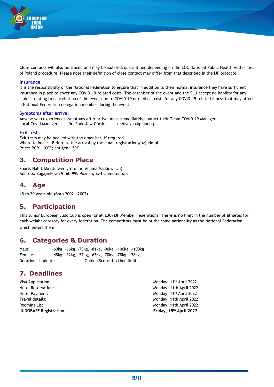

Close contacts will also be traced and may be isolated/quarantined depending on the LOC National Public Health Authorities of Poland procedure. Please note their definition of close contact may differ from that described in the IJF protocol.

#### **Insurance**

It is the responsibility of the National Federation to ensure that in addition to their normal insurance they have sufficient insurance in place to cover any COVID-19-related costs. The organiser of the event and the EJU accept no liability for any claims relating to cancellation of the event due to COVID-19 or medical costs for any COVID-19 related illness that may affect a National Federation delegation member during the event.

#### **Symptoms after arrival**

Anyone who experiences symptoms after arrival must immediately contact their Team COVID-19 Manager Local Covid Manager: Dr. Radosław Górski; medycyna@pzjudo.pl.

#### **Exit tests**

Exit tests may be booked with the organiser, if required. Where to book: Before to the arrival by the email registration@pzjudo.pl Price: PCR - 100€; antigen - 50€.

#### **3. Competition Place**

Sports Hall UAM (Uniwersytetu im. Adama Mickiewicza) Address: Zagajnikowa 9, 60-995 Poznań; swfis.amu.edu.pl

#### **4. Age**

15 to 20 years old (Born 2002 - 2007)

#### **5. Participation**

This Junior European Judo Cup is open for all EJU/IJF Member Federations. **There is no limit** in the number of athletes for each weight category for every federation. The competitors must be of the same nationality as the National Federation, which enters them.

#### **6. Categories & Duration**

Male: -60kg, -66kg, -73kg, -81kg, -90kg, -100kg, +100kg Female: -48kg, -52kg, -57kg, -63kg, -70kg, -78kg, +78kg Duration: 4 minutes Golden Score: No time limit

#### **7. Deadlines**

| <b>JUDOBASE Registration:</b> | Friday, 15th April 2022             |
|-------------------------------|-------------------------------------|
| Rooming List:                 | Monday, 11th April 2022             |
| Travel details:               | Monday, 11th April 2022             |
| Hotel Payment:                | Monday, 11 <sup>th</sup> April 2022 |
| Hotel Reservation:            | Monday, 11th April 2022             |
| Visa Application:             | Monday, 11 <sup>th</sup> April 2022 |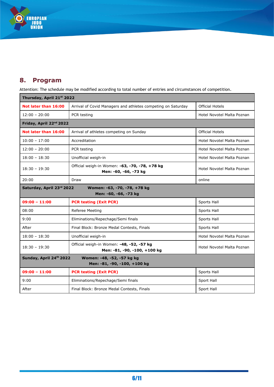

## **8. Program**

Attention: The schedule may be modified according to total number of entries and circumstances of competition.

| Thursday, April 21st 2022                                                             |                                                                           |                            |  |  |
|---------------------------------------------------------------------------------------|---------------------------------------------------------------------------|----------------------------|--|--|
| Not later than 16:00                                                                  | Arrival of Covid Managers and athletes competing on Saturday              | <b>Official Hotels</b>     |  |  |
| $12:00 - 20:00$                                                                       | PCR testing                                                               | Hotel Novotel Malta Poznan |  |  |
| Friday, April 22 <sup>nd</sup> 2022                                                   |                                                                           |                            |  |  |
| Not later than 16:00                                                                  | Arrival of athletes competing on Sunday                                   | <b>Official Hotels</b>     |  |  |
| $10:00 - 17:00$                                                                       | Accreditation                                                             | Hotel Novotel Malta Poznan |  |  |
| $12:00 - 20:00$                                                                       | PCR testing                                                               | Hotel Novotel Malta Poznan |  |  |
| $18:00 - 18:30$                                                                       | Unofficial weigh-in                                                       | Hotel Novotel Malta Poznan |  |  |
| $18:30 - 19:30$                                                                       | Official weigh-in Women: -63, -70, -78, +78 kg<br>Men: -60, -66, -73 kg   | Hotel Novotel Malta Poznan |  |  |
| 20:00                                                                                 | Draw                                                                      | online                     |  |  |
| Saturday, April 23rd 2022                                                             | Women: -63, -70, -78, +78 kg<br>Men: -60, -66, -73 kg                     |                            |  |  |
| $09:00 - 11:00$                                                                       | <b>PCR testing (Exit PCR)</b>                                             | Sports Hall                |  |  |
| 08:00                                                                                 | Referee Meeting                                                           | Sports Hall                |  |  |
| 9:00                                                                                  | Eliminations/Repechage/Semi finals                                        | Sports Hall                |  |  |
| After                                                                                 | Final Block: Bronze Medal Contests, Finals                                | Sports Hall                |  |  |
| $18:00 - 18:30$                                                                       | Unofficial weigh-in                                                       | Hotel Novotel Malta Poznan |  |  |
| $18:30 - 19:30$                                                                       | Official weigh-in Women: -48, -52, -57 kg<br>Men: -81, -90, -100, +100 kg | Hotel Novotel Malta Poznan |  |  |
| Sunday, April 24th 2022<br>Women: -48, -52, -57 kg kg<br>Men: -81, -90, -100, +100 kg |                                                                           |                            |  |  |
| $09:00 - 11:00$                                                                       | <b>PCR testing (Exit PCR)</b>                                             | Sports Hall                |  |  |
| 9:00                                                                                  | Eliminations/Repechage/Semi finals                                        | Sport Hall                 |  |  |
| After                                                                                 | Final Block: Bronze Medal Contests, Finals                                | Sport Hall                 |  |  |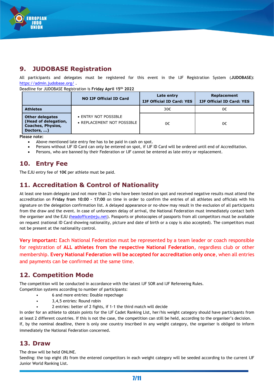

## **9. JUDOBASE Registration**

All participants and delegates must be registered for this event in the IJF Registration System (**JUDOBASE)**: <https://admin.judobase.org/>.

Deadline for JUDOBASE Registration is **Friday April 15 th 2022**

|                                                                                          | <b>NO IJF Official ID Card</b>                     | Late entry<br><b>IJF Official ID Card: YES</b> | Replacement<br><b>IJF Official ID Card: YES</b> |
|------------------------------------------------------------------------------------------|----------------------------------------------------|------------------------------------------------|-------------------------------------------------|
| <b>Athletes</b>                                                                          |                                                    | 30€                                            | 0€                                              |
| <b>Other delegates</b><br>(Head of delegation,<br><b>Coaches, Physios,</b><br>Doctors, ) | • ENTRY NOT POSSIBLE<br>• REPLACEMENT NOT POSSIBLE | 0€                                             | 0€                                              |

**Please note:**

- Above mentioned late entry fee has to be paid in cash on spot.
- Persons without IJF ID Card can only be entered on spot, if IJF ID Card will be ordered until end of Accreditation.
- Persons, who are banned by their Federation or IJF cannot be entered as late entry or replacement.

## **10. Entry Fee**

The EJU entry fee of **10€** per athlete must be paid.

## **11. Accreditation & Control of Nationality**

At least one team delegate (and not more than 2) who have been tested on spot and received negative results must attend the accreditation on **Friday from 10:00 – 17:00** on time in order to confirm the entries of all athletes and officials with his signature on the delegation confirmation list. A delayed appearance or no-show may result in the exclusion of all participants from the draw and the event. In case of unforeseen delay of arrival, the National Federation must immediately contact both the organiser and the EJU [\(headoffice@eju.net\)](mailto:headoffice@eju.net). Passports or photocopies of passports from all competitors must be available on request (national ID Card showing nationality, picture and date of birth or a copy is also accepted). The competitors must not be present at the nationality control.

**Very important:** Each National Federation must be represented by a team leader or coach responsible for registration of **ALL athletes from the respective National Federation**, regardless club or other membership. **Every National Federation will be accepted for accreditation only once**, when all entries and payments can be confirmed at the same time.

## **12. Competition Mode**

The competition will be conducted in accordance with the latest IJF SOR and IJF Refereeing Rules. Competition systems according to number of participants:

- 6 and more entries: Double repechage
- 3,4,5 entries: Round robin
	- 2 entries: better of 2 fights, if 1-1 the third match will decide

In order for an athlete to obtain points for the IJF Cadet Ranking List, her/his weight category should have participants from at least 2 different countries. If this is not the case, the competition can still be held, according to the organiser's decision. If, by the nominal deadline, there is only one country inscribed in any weight category, the organiser is obliged to inform immediately the National Federation concerned.

#### **13. Draw**

The draw will be held ONLINE.

Seeding: the top eight (8) from the entered competitors in each weight category will be seeded according to the current IJF Junior World Ranking List.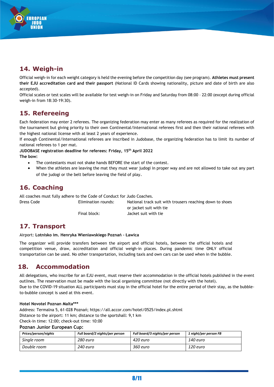

**UROPEAN THEO** 

Official weigh-in for each weight category is held the evening before the competition day (see program). **Athletes must present their EJU accreditation card and their passport** (National ID Cards showing nationality, picture and date of birth are also accepted).

Official scales or test scales will be available for test weigh-in on Friday and Saturday from 08:00 – 22:00 (except during official weigh-in from 18:30-19:30).

## **15. Refereeing**

Each federation may enter 2 referees. The organizing federation may enter as many referees as required for the realization of the tournament but giving priority to their own Continental/International referees first and then their national referees with the highest national license with at least 2 years of experience.

If enough Continental/International referees are inscribed in Judobase, the organizing federation has to limit its number of national referees to 1 per mat.

## **JUDOBASE registration deadline for referees: Friday, 15 th April 2022**

**The bow:**

- The contestants must not shake hands BEFORE the start of the contest.
- When the athletes are leaving the mat they must wear judogi in proper way and are not allowed to take out any part of the judogi or the belt before leaving the field of play.

## **16. Coaching**

All coaches must fully adhere to the Code of Conduct for Judo Coaches. Dress Code Elimination rounds: National track suit with trousers reaching down to shoes or jacket suit with tie Final block: Jacket suit with tie

## **17. Transport**

Airport: **Lotnisko im. Henryka Wieniawskiego Poznań – Ławica**

The organizer will provide transfers between the airport and official hotels, between the official hotels and competition venue, draw, accreditation and official weigh-in places. During pandemic time ONLY official transportation can be used. No other transportation, including taxis and own cars can be used when in the bubble.

## **18. Accommodation**

All delegations, who inscribe for an EJU event, must reserve their accommodation in the official hotels published in the event outlines. The reservation must be made with the local organising committee (not directly with the hotel). Due to the COVID-19 situation ALL participants must stay in the official hotel for the entire period of their stay, as the bubbleto-bubble concept is used at this event.

#### **Hotel Novotel Poznan Malta\*\*\***

Address: Termalna 5, 61-028 Poznań; https://all.accor.com/hotel/0525/index.pl.shtml Distance to the airport: 11 km; distance to the sportshall: 9,1 km Check-in time: 12:00; check-out time: 10:00

#### **Poznan Junior European Cup:**

| Prices/person/nights | Full board/2 nights/per person | Full board/3 nights/per person | 1 night/per person FB |
|----------------------|--------------------------------|--------------------------------|-----------------------|
| Single room          | 280 euro                       | 420 euro                       | 140 euro              |
| Double room          | 240 euro                       | 360 euro                       | 120 euro              |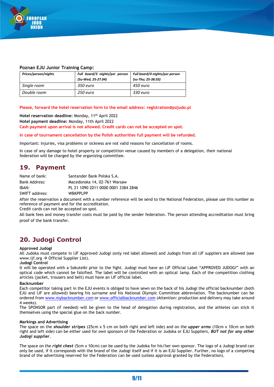

#### **Poznan EJU Junior Training Camp:**

| Prices/person/nights | Full board/3 nights/per person<br>(Su-Wed, 25-27.04) | Full board/4 nights/per person<br>(su-Thu; 25-38.03) |
|----------------------|------------------------------------------------------|------------------------------------------------------|
| Single room          | 350 euro                                             | 450 euro                                             |
| Double room          | 250 euro                                             | 330 euro                                             |

**Please, forward the hotel reservation form to the email address: registration@pzjudo.pl**

Hotel reservation deadline: Monday, 11<sup>th</sup> April 2022 **Hotel payment deadline:** Monday, 11th April 2022 **Cash payment upon arrival is not allowed. Credit cards can not be accepted on spot.**

**In case of tournament cancellation by the Polish authorities full payment will be refunded**.

Important: Injuries, visa problems or sickness are not valid reasons for cancellation of rooms.

In case of any damage to hotel property or competition venue caused by members of a delegation, their national federation will be charged by the organizing committee.

#### **19. Payment**

| Name of bank:  | Santander Bank Polska S.A.          |
|----------------|-------------------------------------|
| Bank Address:  | Macedonska 14, 02-761 Warsaw        |
| IBAN:          | PL 21 1090 2011 0000 0001 3384 2846 |
| SWIFT address: | <b>WBKPPLPP</b>                     |

After the reservation a document with a number reference will be send to the National Federation, please use this number as reference of payment and for the accreditation.

Credit cards can not be accepted on spot.

All bank fees and money transfer costs must be paid by the sender federation. The person attending accreditation must bring proof of the bank transfer.

## **20. Judogi Control**

#### **Approved Judogi**

All Judoka must compete in IJF Approved Judogi (only red label allowed) and Judogis from all IJF suppliers are allowed (see www.ijf.org  $\rightarrow$  Official Supplier List).

#### **Judogi Control**

It will be operated with a Sokuteiki prior to the fight. Judogi must have an IJF Official Label "APPROVED JUDOGI" with an optical code which cannot be falsified. The label will be controlled with an optical lamp. Each of the competition clothing articles (jacket, trousers and belt) must have an IJF official label.

#### **Backnumber**

Each competitor taking part in the EJU events is obliged to have sewn on the back of his Judogi the official backnumber (both EJU and IJF are allowed) bearing his surname and his National Olympic Committee abbreviation. The backnumber can be ordered from [www.mybacknumber.com](http://www.mybacknumber.com/) or [www.officialbacknumber.com](http://www.officialbacknumber.com/) (Attention: production and delivery may take around 4 weeks).

The SPONSOR part (if needed) will be given to the head of delegation during registration, and the athletes can stick it themselves using the special glue on the back number.

#### **Markings and Advertising**

The space on the *shoulder stripes* (25cm x 5 cm on both right and left side) and on the *upper arms* (10cm x 10cm on both right and left side) can be either used for own sponsors of the Federation or Judoka or EJU Suppliers, *BUT not for any other Judogi supplier*.

The space on the *right chest* (5cm x 10cm) can be used by the Judoka for his/her own sponsor. The logo of a Judogi brand can only be used, if it corresponds with the brand of the Judogi itself and if it is an EJU Supplier. Further, no logo of a competing brand of the advertising reserved for the Federation can be used (unless approval granted by the Federation).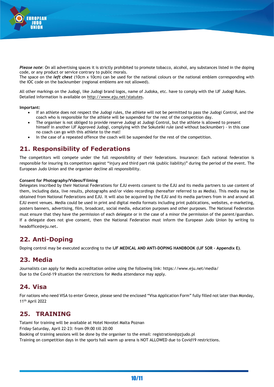

*Please note*: On all advertising spaces it is strictly prohibited to promote tobacco, alcohol, any substances listed in the doping code, or any product or service contrary to public morals.

The space on the *left chest* (10cm x 10cm) can be used for the national colours or the national emblem corresponding with the IOC code on the backnumber (regional emblems are not allowed).

All other markings on the Judogi, like Judogi brand logos, name of Judoka, etc. have to comply with the IJF Judogi Rules. Detailed information is available on<http://www.eju.net/statutes>.

**Important:**

- If an athlete does not respect the Judogi rules, the athlete will not be permitted to pass the Judogi Control, and the coach who is responsible for the athlete will be suspended for the rest of the competition day.
- The organiser is not obliged to provide reserve Judogi at Judogi Control, but the athlete is allowed to present himself in another IJF Approved Judogi, complying with the Sokuteiki rule (and without backnumber) - in this case no coach can go with this athlete to the mat!
- In the case of a repeated offence the coach will be suspended for the rest of the competition.

## **21. Responsibility of Federations**

The competitors will compete under the full responsibility of their federations. Insurance: Each national federation is responsible for insuring its competitors against "injury and third part risk (public liability)" during the period of the event. The European Judo Union and the organiser decline all responsibility.

#### **Consent for Photography/Videos/Filming**

Delegates inscribed by their National Federations for EJU events consent to the EJU and its media partners to use content of them, including data, live results, photographs and/or video recordings (hereafter referred to as Media). This media may be obtained from National Federations and EJU. It will also be acquired by the EJU and its media partners from in and around all EJU event venues. Media could be used in print and digital media formats including print publications, websites, e-marketing, posters banners, advertising, film, broadcast, social media, education purposes and other purposes. The National Federation must ensure that they have the permission of each delegate or in the case of a minor the permission of the parent/guardian. If a delegate does not give consent, then the National Federation must inform the European Judo Union by writing to headoffice@eju.net.

## **22. Anti-Doping**

Doping control may be executed according to the **IJF MEDICAL AND ANTI-DOPING HANDBOOK (IJF SOR – Appendix E)**.

## **23. Media**

Journalists can apply for Media accreditation online using the following link: https://www.eju.net/media/ Due to the Covid-19 situation the restrictions for Media attendance may apply.

## **24. Visa**

For nations who need VISA to enter Greece, please send the enclosed "Visa Application Form" fully filled not later than Monday, 11th April 2022

## **25. TRAINING**

Tatami for training will be available at Hotel Novotel Malta Poznan Friday-Saturday, April 22-23: from 09:00 till 20:00 Booking of training sessions will be done by the organiser to the email: registration@pzjudo.pl Training on competition days in the sports hall warm up arena is NOT ALLOWED due to Covid19 restrictions.